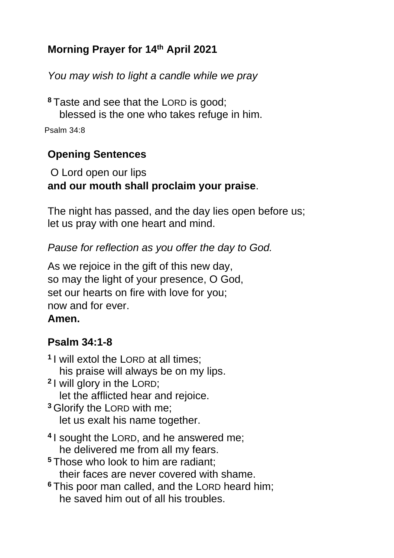# **Morning Prayer for 14th April 2021**

*You may wish to light a candle while we pray*

**<sup>8</sup>** Taste and see that the LORD is good; blessed is the one who takes refuge in him.

Psalm 34:8

## **Opening Sentences**

O Lord open our lips **and our mouth shall proclaim your praise**.

The night has passed, and the day lies open before us; let us pray with one heart and mind.

*Pause for reflection as you offer the day to God.*

As we rejoice in the gift of this new day, so may the light of your presence, O God, set our hearts on fire with love for you; now and for ever.

### **Amen.**

# **Psalm 34:1-8**

**1** I will extol the LORD at all times; his praise will always be on my lips. **2** I will glory in the LORD; let the afflicted hear and rejoice. **<sup>3</sup>** Glorify the LORD with me; let us exalt his name together. **4** I sought the LORD, and he answered me; he delivered me from all my fears. **<sup>5</sup>** Those who look to him are radiant; their faces are never covered with shame. **<sup>6</sup>** This poor man called, and the LORD heard him; he saved him out of all his troubles.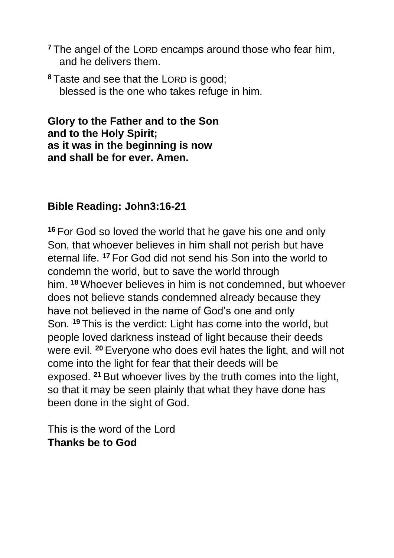- **<sup>7</sup>** The angel of the LORD encamps around those who fear him, and he delivers them.
- **<sup>8</sup>** Taste and see that the LORD is good; blessed is the one who takes refuge in him.

**Glory to the Father and to the Son and to the Holy Spirit; as it was in the beginning is now and shall be for ever. Amen.**

#### **Bible Reading: John3:16-21**

**<sup>16</sup>** For God so loved the world that he gave his one and only Son, that whoever believes in him shall not perish but have eternal life. **<sup>17</sup>** For God did not send his Son into the world to condemn the world, but to save the world through him. **<sup>18</sup>** Whoever believes in him is not condemned, but whoever does not believe stands condemned already because they have not believed in the name of God's one and only Son. **<sup>19</sup>** This is the verdict: Light has come into the world, but people loved darkness instead of light because their deeds were evil. **<sup>20</sup>** Everyone who does evil hates the light, and will not come into the light for fear that their deeds will be exposed. **<sup>21</sup>** But whoever lives by the truth comes into the light, so that it may be seen plainly that what they have done has been done in the sight of God.

This is the word of the Lord **Thanks be to God**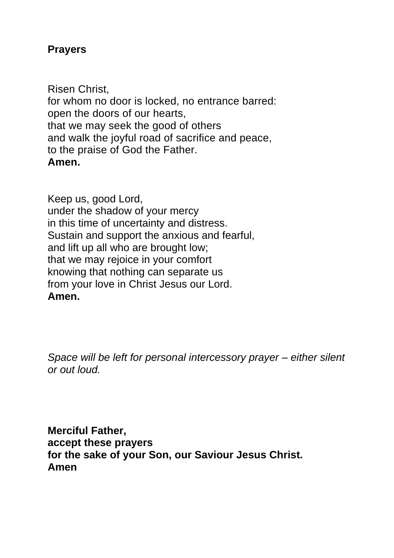#### **Prayers**

Risen Christ, for whom no door is locked, no entrance barred: open the doors of our hearts, that we may seek the good of others and walk the joyful road of sacrifice and peace, to the praise of God the Father. **Amen.**

Keep us, good Lord, under the shadow of your mercy in this time of uncertainty and distress. Sustain and support the anxious and fearful, and lift up all who are brought low; that we may rejoice in your comfort knowing that nothing can separate us from your love in Christ Jesus our Lord. **Amen.**

*Space will be left for personal intercessory prayer – either silent or out loud.*

**Merciful Father, accept these prayers for the sake of your Son, our Saviour Jesus Christ. Amen**